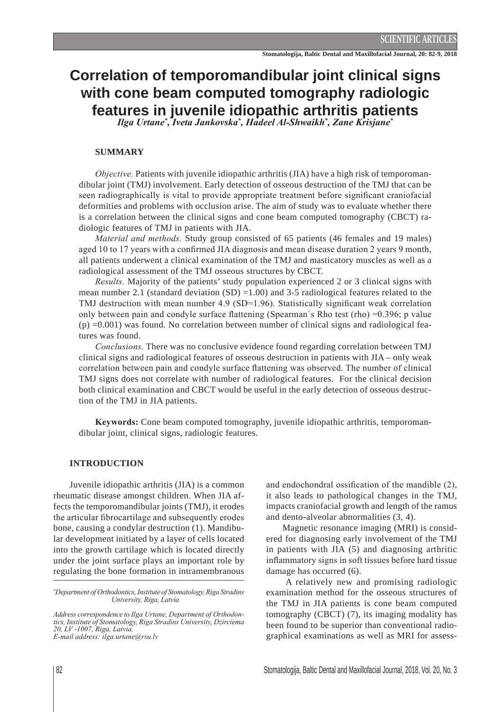# **Correlation of temporomandibular joint clinical signs with cone beam computed tomography radiologic features in juvenile idiopathic arthritis patients**

*, Iveta Jankovska\* , Hadeel Al-Shwaikh\* , Zane Krisjane\**

# **Summary**

*Objective.* Patients with juvenile idiopathic arthritis (JIA) have a high risk of temporomandibular joint (TMJ) involvement. Early detection of osseous destruction of the TMJ that can be seen radiographically is vital to provide appropriate treatment before significant craniofacial deformities and problems with occlusion arise. The aim of study was to evaluate whether there is a correlation between the clinical signs and cone beam computed tomography (CBCT) radiologic features of TMJ in patients with JIA.

*Material and methods.* Study group consisted of 65 patients (46 females and 19 males) aged 10 to 17 years with a confirmed JIA diagnosis and mean disease duration 2 years 9 month, all patients underwent a clinical examination of the TMJ and masticatory muscles as well as a radiological assessment of the TMJ osseous structures by CBCT.

*Results.* Majority of the patients' study population experienced 2 or 3 clinical signs with mean number 2.1 (standard deviation  $(SD) = 1.00$ ) and 3-5 radiological features related to the TMJ destruction with mean number 4.9 (SD=1.96). Statistically significant weak correlation only between pain and condyle surface flattening (Spearman`s Rho test (rho) =0.396; p value  $(p) = 0.001$ ) was found. No correlation between number of clinical signs and radiological features was found.

*Conclusions.* There was no conclusive evidence found regarding correlation between TMJ clinical signs and radiological features of osseous destruction in patients with JIA – only weak correlation between pain and condyle surface flattening was observed. The number of clinical TMJ signs does not correlate with number of radiological features. For the clinical decision both clinical examination and CBCT would be useful in the early detection of osseous destruction of the TMJ in JIA patients.

**Keywords:** Cone beam computed tomography, juvenile idiopathic arthritis, temporomandibular joint, clinical signs, radiologic features.

# **Introduction**

Juvenile idiopathic arthritis (JIA) is a common rheumatic disease amongst children. When JIA affects the temporomandibular joints (TMJ), it erodes the articular fibrocartilage and subsequently erodes bone, causing a condylar destruction (1). Mandibular development initiated by a layer of cells located into the growth cartilage which is located directly under the joint surface plays an important role by regulating the bone formation in intramembranous and endochondral ossification of the mandible (2), it also leads to pathological changes in the TMJ, impacts craniofacial growth and length of the ramus and dento-alveolar abnormalities (3, 4).

Magnetic resonance imaging (MRI) is considered for diagnosing early involvement of the TMJ in patients with JIA (5) and diagnosing arthritic inflammatory signs in soft tissues before hard tissue damage has occurred (6).

 A relatively new and promising radiologic examination method for the osseous structures of the TMJ in JIA patients is cone beam computed tomography (CBCT) (7), its imaging modality has been found to be superior than conventional radiographical examinations as well as MRI for assess-

*<sup>\*</sup> Department of Orthodontics, Institute of Stomatology, Riga Stradins University, Riga, Latvia*

*Address correspondence to Ilga Urtane, Department of Orthodontics, Institute of Stomatology, Riga Stradins University, Dzirciema 20, LV -1007, Riga, Latvia. E-mail address: ilga.urtane@rsu.lv*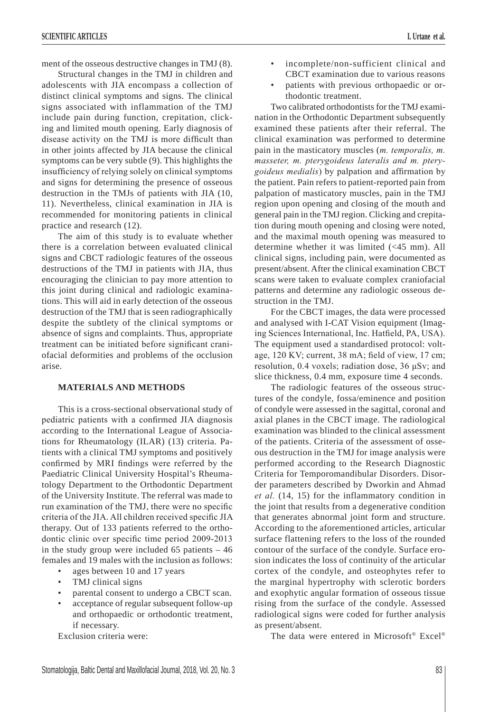ment of the osseous destructive changes in TMJ (8).

Structural changes in the TMJ in children and adolescents with JIA encompass a collection of distinct clinical symptoms and signs. The clinical signs associated with inflammation of the TMJ include pain during function, crepitation, clicking and limited mouth opening. Early diagnosis of disease activity on the TMJ is more difficult than in other joints affected by JIA because the clinical symptoms can be very subtle (9). This highlights the insufficiency of relying solely on clinical symptoms and signs for determining the presence of osseous destruction in the TMJs of patients with JIA (10, 11). Nevertheless, clinical examination in JIA is recommended for monitoring patients in clinical practice and research (12).

The aim of this study is to evaluate whether there is a correlation between evaluated clinical signs and CBCT radiologic features of the osseous destructions of the TMJ in patients with JIA, thus encouraging the clinician to pay more attention to this joint during clinical and radiologic examinations. This will aid in early detection of the osseous destruction of the TMJ that is seen radiographically despite the subtlety of the clinical symptoms or absence of signs and complaints. Thus, appropriate treatment can be initiated before significant craniofacial deformities and problems of the occlusion arise.

## **MATERIALS AND METHODS**

This is a cross-sectional observational study of pediatric patients with a confirmed JIA diagnosis according to the International League of Associations for Rheumatology (ILAR) (13) criteria. Patients with a clinical TMJ symptoms and positively confirmed by MRI findings were referred by the Paediatric Clinical University Hospital's Rheumatology Department to the Orthodontic Department of the University Institute. The referral was made to run examination of the TMJ, there were no specific criteria of the JIA. All children received specific JIA therapy. Out of 133 patients referred to the orthodontic clinic over specific time period 2009-2013 in the study group were included 65 patients  $-46$ females and 19 males with the inclusion as follows:

- ages between 10 and 17 years
- TMJ clinical signs
- parental consent to undergo a CBCT scan.
- acceptance of regular subsequent follow-up and orthopaedic or orthodontic treatment, if necessary.

Exclusion criteria were:

- incomplete/non-sufficient clinical and CBCT examination due to various reasons
- patients with previous orthopaedic or orthodontic treatment.

Two calibrated orthodontists for the TMJ examination in the Orthodontic Department subsequently examined these patients after their referral. The clinical examination was performed to determine pain in the masticatory muscles (*m. temporalis, m. masseter, m. pterygoideus lateralis and m. pterygoideus medialis*) by palpation and affirmation by the patient. Pain refers to patient-reported pain from palpation of masticatory muscles, pain in the TMJ region upon opening and closing of the mouth and general pain in the TMJ region. Clicking and crepitation during mouth opening and closing were noted, and the maximal mouth opening was measured to determine whether it was limited (<45 mm). All clinical signs, including pain, were documented as present/absent. After the clinical examination CBCT scans were taken to evaluate complex craniofacial patterns and determine any radiologic osseous destruction in the TMJ.

For the CBCT images, the data were processed and analysed with I-CAT Vision equipment (Imaging Sciences International, Inc. Hatfield, PA, USA). The equipment used a standardised protocol: voltage, 120 KV; current, 38 mA; field of view, 17 cm; resolution, 0.4 voxels; radiation dose, 36 μSv; and slice thickness, 0.4 mm, exposure time 4 seconds.

The radiologic features of the osseous structures of the condyle, fossa/eminence and position of condyle were assessed in the sagittal, coronal and axial planes in the CBCT image. The radiological examination was blinded to the clinical assessment of the patients. Criteria of the assessment of osseous destruction in the TMJ for image analysis were performed according to the Research Diagnostic Criteria for Temporomandibular Disorders. Disorder parameters described by Dworkin and Ahmad *et al.* (14, 15) for the inflammatory condition in the joint that results from a degenerative condition that generates abnormal joint form and structure. According to the aforementioned articles, articular surface flattening refers to the loss of the rounded contour of the surface of the condyle. Surface erosion indicates the loss of continuity of the articular cortex of the condyle, and osteophytes refer to the marginal hypertrophy with sclerotic borders and exophytic angular formation of osseous tissue rising from the surface of the condyle. Assessed radiological signs were coded for further analysis as present/absent.

The data were entered in Microsoft® Excel®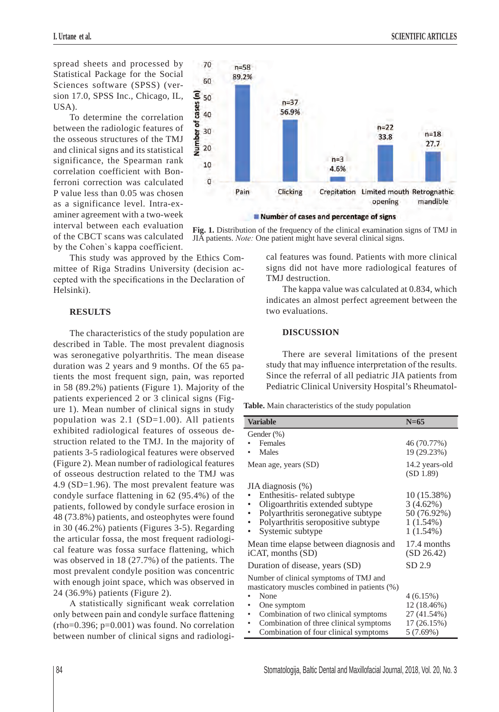spread sheets and processed by Statistical Package for the Social Sciences software (SPSS) (version 17.0, SPSS Inc., Chicago, IL, USA).

To determine the correlation between the radiologic features of the osseous structures of the TMJ and clinical signs and its statistical significance, the Spearman rank correlation coefficient with Bonferroni correction was calculated P value less than 0.05 was chosen as a significance level. Intra-examiner agreement with a two-week interval between each evaluation of the CBCT scans was calculated by the Cohen`s kappa coefficient.

This study was approved by the Ethics Committee of Riga Stradins University (decision accepted with the specifications in the Declaration of Helsinki).

#### **RESULTS**

The characteristics of the study population are described in Table. The most prevalent diagnosis was seronegative polyarthritis. The mean disease duration was 2 years and 9 months. Of the 65 patients the most frequent sign, pain, was reported in 58 (89.2%) patients (Figure 1). Majority of the patients experienced 2 or 3 clinical signs (Fig-

ure 1). Mean number of clinical signs in study population was  $2.1$  (SD=1.00). All patients exhibited radiological features of osseous destruction related to the TMJ. In the majority of patients 3-5 radiological features were observed (Figure 2). Mean number of radiological features of osseous destruction related to the TMJ was 4.9 (SD=1.96). The most prevalent feature was condyle surface flattening in 62 (95.4%) of the patients, followed by condyle surface erosion in 48 (73.8%) patients, and osteophytes were found in 30 (46.2%) patients (Figures 3-5). Regarding the articular fossa, the most frequent radiological feature was fossa surface flattening, which was observed in 18 (27.7%) of the patients. The most prevalent condyle position was concentric with enough joint space, which was observed in 24 (36.9%) patients (Figure 2).

A statistically significant weak correlation only between pain and condyle surface flattening  $(rho=0.396; p=0.001)$  was found. No correlation between number of clinical signs and radiologi-



**Fig. 1.** Distribution of the frequency of the clinical examination signs of TMJ in JIA patients. *Note:* One patient might have several clinical signs.

> cal features was found. Patients with more clinical signs did not have more radiological features of TMJ destruction.

> The kappa value was calculated at 0.834, which indicates an almost perfect agreement between the two evaluations.

## **DISCUSSION**

There are several limitations of the present study that may influence interpretation of the results. Since the referral of all pediatric JIA patients from Pediatric Clinical University Hospital's Rheumatol-

**Table.** Main characteristics of the study population

| <b>Variable</b>                                                                                                                                               | $N=65$                                                                    |
|---------------------------------------------------------------------------------------------------------------------------------------------------------------|---------------------------------------------------------------------------|
|                                                                                                                                                               |                                                                           |
| Gender (%)                                                                                                                                                    |                                                                           |
| Females                                                                                                                                                       | 46 (70.77%)                                                               |
| Males                                                                                                                                                         | 19 (29.23%)                                                               |
| Mean age, years (SD)                                                                                                                                          | 14.2 years-old<br>(SD 1.89)                                               |
| JIA diagnosis (%)                                                                                                                                             |                                                                           |
| Enthesitis-related subtype<br>Oligoarthritis extended subtype<br>Polyarthritis seronegative subtype<br>Polyarthritis seropositive subtype<br>Systemic subtype | $10(15.38\%)$<br>$3(4.62\%)$<br>50 (76.92%)<br>$1(1.54\%)$<br>$1(1.54\%)$ |
| Mean time elapse between diagnosis and<br>iCAT, months (SD)                                                                                                   | 17.4 months<br>(SD 26.42)                                                 |
| Duration of disease, years (SD)                                                                                                                               | SD 2.9                                                                    |
| Number of clinical symptoms of TMJ and<br>masticatory muscles combined in patients (%)                                                                        |                                                                           |
| None                                                                                                                                                          | 4(6.15%)                                                                  |
| One symptom                                                                                                                                                   | 12 (18.46%)                                                               |
| Combination of two clinical symptoms                                                                                                                          | 27 (41.54%)                                                               |
| Combination of three clinical symptoms                                                                                                                        | 17 (26.15%)                                                               |
| Combination of four clinical symptoms                                                                                                                         | 5(7.69%)                                                                  |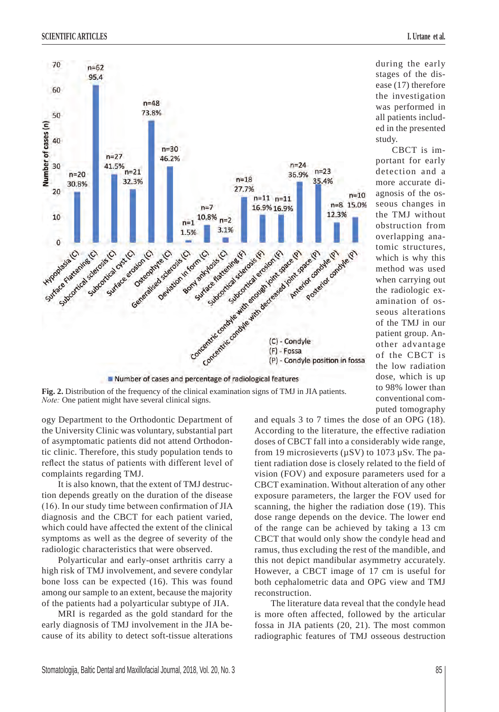

during the early stages of the disease (17) therefore the investigation was performed in all patients included in the presented study.

CBCT is important for early detection and a more accurate diagnosis of the osseous changes in the TMJ without obstruction from overlapping anatomic structures, which is why this method was used when carrying out the radiologic examination of osseous alterations of the TMJ in our patient group. Another advantage of the CBCT is the low radiation dose, which is up to 98% lower than conventional computed tomography

**Fig. 2.** Distribution of the frequency of the clinical examination signs of TMJ in JIA patients. *Note:* One patient might have several clinical signs.

ogy Department to the Orthodontic Department of the University Clinic was voluntary, substantial part of asymptomatic patients did not attend Orthodontic clinic. Therefore, this study population tends to reflect the status of patients with different level of complaints regarding TMJ.

It is also known, that the extent of TMJ destruction depends greatly on the duration of the disease (16). In our study time between confirmation of JIA diagnosis and the CBCT for each patient varied, which could have affected the extent of the clinical symptoms as well as the degree of severity of the radiologic characteristics that were observed.

Polyarticular and early-onset arthritis carry a high risk of TMJ involvement, and severe condylar bone loss can be expected (16). This was found among our sample to an extent, because the majority of the patients had a polyarticular subtype of JIA.

MRI is regarded as the gold standard for the early diagnosis of TMJ involvement in the JIA because of its ability to detect soft-tissue alterations and equals 3 to 7 times the dose of an OPG (18). According to the literature, the effective radiation doses of CBCT fall into a considerably wide range, from 19 microsieverts ( $\mu$ SV) to 1073  $\mu$ Sv. The patient radiation dose is closely related to the field of vision (FOV) and exposure parameters used for a CBCT examination. Without alteration of any other exposure parameters, the larger the FOV used for scanning, the higher the radiation dose (19). This dose range depends on the device. The lower end of the range can be achieved by taking a 13 cm CBCT that would only show the condyle head and ramus, thus excluding the rest of the mandible, and this not depict mandibular asymmetry accurately. However, a CBCT image of 17 cm is useful for both cephalometric data and OPG view and TMJ reconstruction.

The literature data reveal that the condyle head is more often affected, followed by the articular fossa in JIA patients (20, 21). The most common radiographic features of TMJ osseous destruction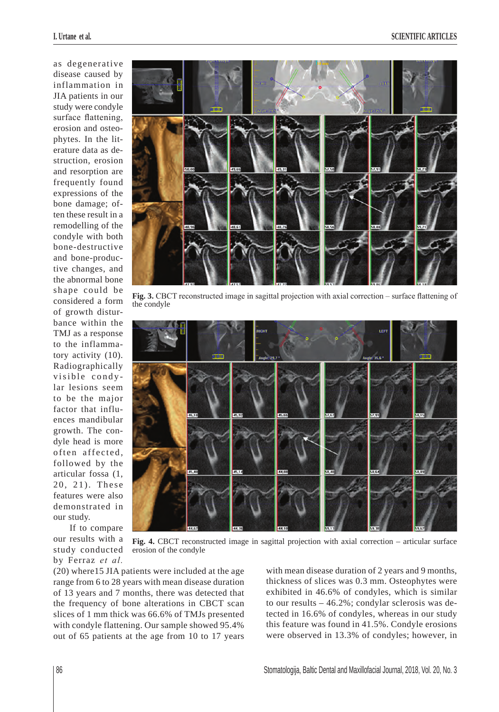as degenerative disease caused by inflammation in JIA patients in our study were condyle surface flattening, erosion and osteophytes. In the literature data as destruction, erosion and resorption are frequently found expressions of the bone damage; often these result in a remodelling of the condyle with both bone-destructive and bone-productive changes, and the abnormal bone shape could be considered a form of growth disturbance within the TMJ as a response to the inflammatory activity (10). Radiographically visible condy lar lesions seem to be the major factor that influences mandibular growth. The condyle head is more often affected, followed by the articular fossa (1, 20, 21). These features were also demonstrated in our study.

If to compare our results with a study conducted by Ferraz *et al.*



**Fig. 3.** CBCT reconstructed image in sagittal projection with axial correction – surface flattening of the condyle



**Fig. 4.** CBCT reconstructed image in sagittal projection with axial correction – articular surface erosion of the condyle

(20) where15 JIA patients were included at the age range from 6 to 28 years with mean disease duration of 13 years and 7 months, there was detected that the frequency of bone alterations in CBCT scan slices of 1 mm thick was 66.6% of TMJs presented with condyle flattening. Our sample showed 95.4% out of 65 patients at the age from 10 to 17 years

with mean disease duration of 2 years and 9 months, thickness of slices was 0.3 mm. Osteophytes were exhibited in 46.6% of condyles, which is similar to our results – 46.2%; condylar sclerosis was detected in 16.6% of condyles, whereas in our study this feature was found in 41.5%. Condyle erosions were observed in 13.3% of condyles; however, in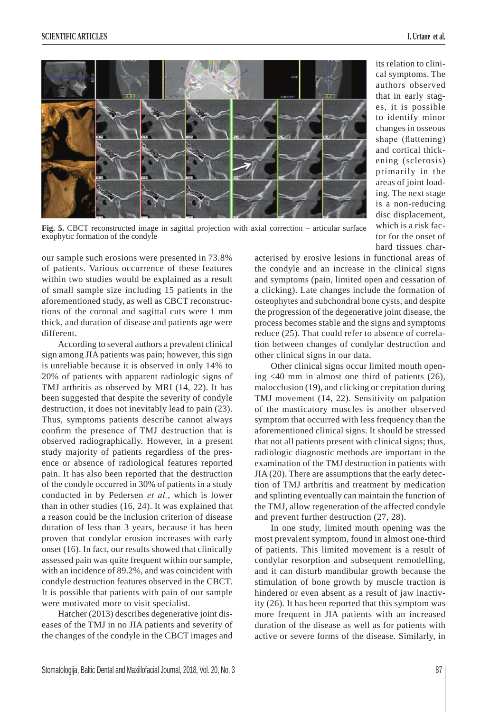its relation to clinical symptoms. The authors observed that in early stages, it is possible to identify minor changes in osseous shape (flattening) and cortical thickening (sclerosis) primarily in the areas of joint loading. The next stage is a non-reducing disc displacement, which is a risk factor for the onset of hard tissues char-



Fig. 5. CBCT reconstructed image in sagittal projection with axial correction – articular surface exophytic formation of the condyle

our sample such erosions were presented in 73.8% of patients. Various occurrence of these features within two studies would be explained as a result of small sample size including 15 patients in the aforementioned study, as well as CBCT reconstructions of the coronal and sagittal cuts were 1 mm thick, and duration of disease and patients age were different.

According to several authors a prevalent clinical sign among JIA patients was pain; however, this sign is unreliable because it is observed in only 14% to 20% of patients with apparent radiologic signs of TMJ arthritis as observed by MRI (14, 22). It has been suggested that despite the severity of condyle destruction, it does not inevitably lead to pain (23). Thus, symptoms patients describe cannot always confirm the presence of TMJ destruction that is observed radiographically. However, in a present study majority of patients regardless of the presence or absence of radiological features reported pain. It has also been reported that the destruction of the condyle occurred in 30% of patients in a study conducted in by Pedersen *et al.*, which is lower than in other studies (16, 24). It was explained that a reason could be the inclusion criterion of disease duration of less than 3 years, because it has been proven that condylar erosion increases with early onset (16). In fact, our results showed that clinically assessed pain was quite frequent within our sample, with an incidence of 89.2%, and was coincident with condyle destruction features observed in the CBCT. It is possible that patients with pain of our sample were motivated more to visit specialist.

Hatcher (2013) describes degenerative joint diseases of the TMJ in no JIA patients and severity of the changes of the condyle in the CBCT images and acterised by erosive lesions in functional areas of the condyle and an increase in the clinical signs and symptoms (pain, limited open and cessation of a clicking). Late changes include the formation of osteophytes and subchondral bone cysts, and despite the progression of the degenerative joint disease, the process becomes stable and the signs and symptoms reduce (25). That could refer to absence of correlation between changes of condylar destruction and other clinical signs in our data.

Other clinical signs occur limited mouth opening <40 mm in almost one third of patients (26), malocclusion (19), and clicking or crepitation during TMJ movement (14, 22). Sensitivity on palpation of the masticatory muscles is another observed symptom that occurred with less frequency than the aforementioned clinical signs. It should be stressed that not all patients present with clinical signs; thus, radiologic diagnostic methods are important in the examination of the TMJ destruction in patients with JIA (20). There are assumptions that the early detection of TMJ arthritis and treatment by medication and splinting eventually can maintain the function of the TMJ, allow regeneration of the affected condyle and prevent further destruction (27, 28).

In one study, limited mouth opening was the most prevalent symptom, found in almost one-third of patients. This limited movement is a result of condylar resorption and subsequent remodelling, and it can disturb mandibular growth because the stimulation of bone growth by muscle traction is hindered or even absent as a result of jaw inactivity (26). It has been reported that this symptom was more frequent in JIA patients with an increased duration of the disease as well as for patients with active or severe forms of the disease. Similarly, in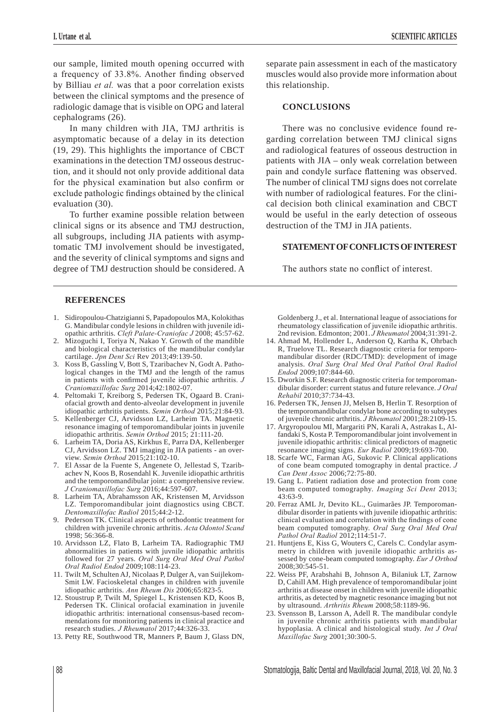our sample, limited mouth opening occurred with a frequency of 33.8%. Another finding observed by Billiau *et al.* was that a poor correlation exists between the clinical symptoms and the presence of radiologic damage that is visible on OPG and lateral cephalograms (26).

In many children with JIA, TMJ arthritis is asymptomatic because of a delay in its detection (19, 29). This highlights the importance of CBCT examinations in the detection TMJ osseous destruction, and it should not only provide additional data for the physical examination but also confirm or exclude pathologic findings obtained by the clinical evaluation (30).

To further examine possible relation between clinical signs or its absence and TMJ destruction, all subgroups, including JIA patients with asymptomatic TMJ involvement should be investigated, and the severity of clinical symptoms and signs and degree of TMJ destruction should be considered. A separate pain assessment in each of the masticatory muscles would also provide more information about this relationship.

#### **CONCLUSIONS**

There was no conclusive evidence found regarding correlation between TMJ clinical signs and radiological features of osseous destruction in patients with JIA – only weak correlation between pain and condyle surface flattening was observed. The number of clinical TMJ signs does not correlate with number of radiological features. For the clinical decision both clinical examination and CBCT would be useful in the early detection of osseous destruction of the TMJ in JIA patients.

## **STATEMENT OF CONFLICTS OF INTEREST**

The authors state no conflict of interest.

#### **REFERENCES**

- 1. Sidiropoulou-Chatzigianni S, Papadopoulos MA, Kolokithas G. Mandibular condyle lesions in children with juvenile idiopathic arthritis. *Cleft Palate-Craniofac J* 2008; 45:57-62.
- 2. Mizoguchi I, Toriya N, Nakao Y. Growth of the mandible and biological characteristics of the mandibular condylar cartilage. *Jpn Dent Sci* Rev 2013;49:139-50.
- 3. Koss B, Gassling V, Bott S, Tzaribachev N, Godt A. Pathological changes in the TMJ and the length of the ramus in patients with confirmed juvenile idiopathic arthritis. *J Craniomaxillofac Surg* 2014;42:1802-07.
- 4. Peltomaki T, Kreiborg S, Pedersen TK, Ogaard B. Craniofacial growth and dento-alveolar development in juvenile idiopathic arthritis patients. *Semin Orthod* 2015;21:84-93.
- 5. Kellenberger CJ, Arvidsson LZ, Larheim TA. Magnetic resonance imaging of temporomandibular joints in juvenile idiopathic arthritis. *Semin Orthod* 2015; 21:111-20.
- 6. Larheim TA, Doria AS, Kirkhus E, Parra DA, Kellenberger CJ, Arvidsson LZ. TMJ imaging in JIA patients - an overview. *Semin Orthod* 2015;21:102-10.
- 7. El Assar de la Fuente S, Angenete O, Jellestad S, Tzaribachev N, Koos B, Rosendahl K. Juvenile idiopathic arthritis and the temporomandibular joint: a comprehensive review. *J Craniomaxillofac Surg* 2016;44:597-607.
- 8. Larheim TA, Abrahamsson AK, Kristensen M, Arvidsson LZ. Temporomandibular joint diagnostics using CBCT. *Dentomaxillofac Radiol* 2015;44:2-12.
- 9. Pederson TK. Clinical aspects of orthodontic treatment for children with juvenile chronic arthritis. *Acta Odontol Scand* 1998; 56:366-8.
- 10. Arvidsson LZ, Flato B, Larheim TA. Radiographic TMJ abnormalities in patients with juvnile idiopathic arthritis followed for 27 years. *Oral Surg Oral Med Oral Pathol Oral Radiol Endod* 2009;108:114-23.
- 11. Twilt M, Schulten AJ, Nicolaas P, Dulger A, van Suijlekom-Smit LW. Facioskeletal changes in children with juvenile idiopathic arthritis. *Ann Rheum Dis* 2006;65:823-5.
- 12. Stoustrup P, Twilt M, Spiegel L, Kristensen KD, Koos B, Pedersen TK. Clinical orofacial examination in juvenile idiopathic arthritis: international consensus-based recommendations for monitoring patients in clinical practice and research studies. *J Rheumatol* 2017;44:326-33.
- 13. Petty RE, Southwood TR, Manners P, Baum J, Glass DN,

Goldenberg J., et al. International league of associations for rheumatology classification of juvenile idiopathic arthritis. 2nd revision. Edmonton; 2001. *J Rheumatol* 2004;31:391-2.

- 14. Ahmad M, Hollender L, Anderson Q, Kartha K, Ohrbach R, Truelove TL. Research diagnostic criteria for temporomandibular disorder (RDC/TMD): development of image analysis. *Oral Surg Oral Med Oral Pathol Oral Radiol Endod* 2009;107:844-60.
- 15. Dworkin S.F. Research diagnostic criteria for temporomandibular disorder: current status and future relevance. *J Oral Rehabil* 2010;37:734-43.
- 16. Pedersen TK, Jensen JJ, Melsen B, Herlin T. Resorption of the temporomandibular condylar bone according to subtypes of juvenile chronic arthritis. *J Rheumatol* 2001;28:2109-15.
- 17. Argyropoulou MI, Margariti PN, Karali A, Astrakas L, Alfandaki S, Kosta P. Temporomandibular joint involvement in juvenile idiopathic arthritis: clinical predictors of magnetic resonance imaging signs. *Eur Radiol* 2009;19:693-700.
- 18. Scarfe WC, Farman AG, Sukovic P. Clinical applications of cone beam computed tomography in dental practice. *J Can Dent Assoc* 2006;72:75-80.
- 19. Gang L. Patient radiation dose and protection from cone beam computed tomography. *Imaging Sci Dent* 2013; 43:63-9.
- 20. Ferraz AML Jr, Devito KL., Guimarães JP. Temporomandibular disorder in patients with juvenile idiopathic arthritis: clinical evaluation and correlation with the findings of cone beam computed tomography. *Oral Surg Oral Med Oral Pathol Oral Radiol* 2012;114:51-7.
- 21. Huntjens E, Kiss G, Wouters C, Carels C. Condylar asymmetry in children with juvenile idiopathic arthritis assessed by cone-beam computed tomography. *Eur J Orthod* 2008;30:545-51.
- 22. Weiss PF, Arabshahi B, Johnson A, Bilaniuk LT, Zarnow D, Cahill AM. High prevalence of temporomandibular joint arthritis at disease onset in children with juvenile idiopathic arthritis, as detected by magnetic resonance imaging but not by ultrasound. *Arthritis Rheum* 2008;58:1189-96.
- 23. Svensson B, Larsson A, Adell R. The mandibular condyle in juvenile chronic arthritis patients with mandibular hypoplasia. A clinical and histological study. *Int J Oral Maxillofac Surg* 2001;30:300-5.